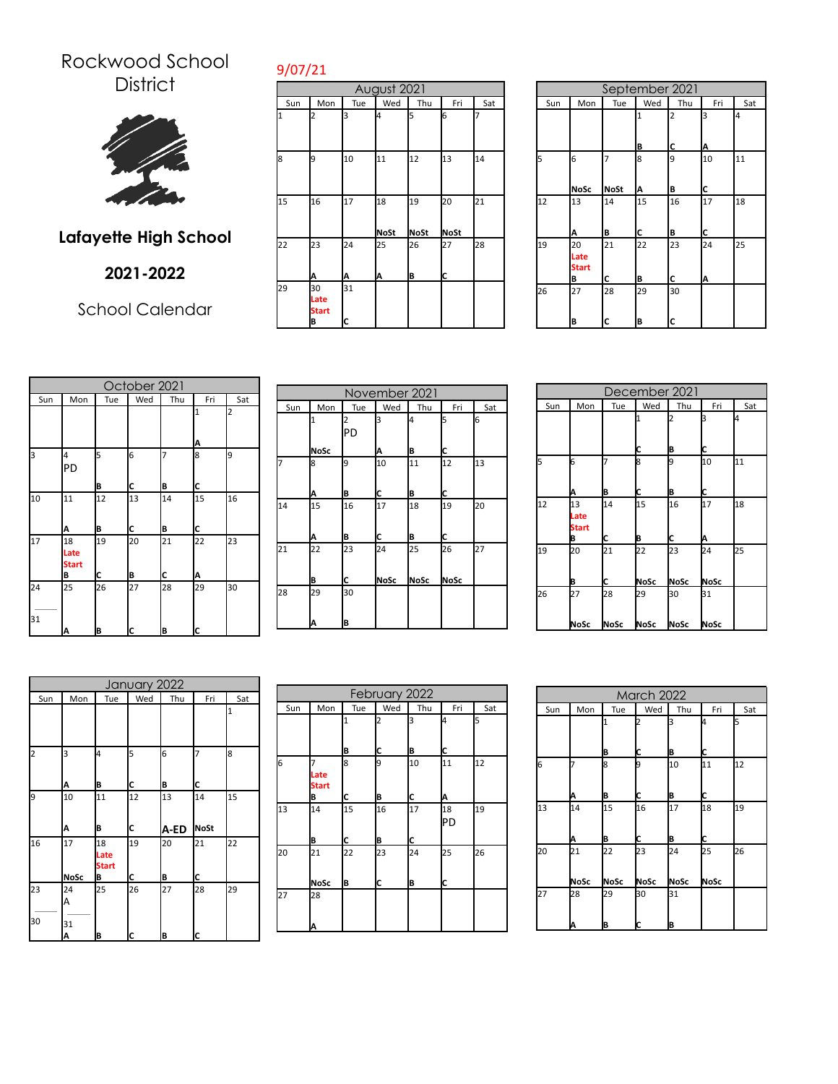## Rockwood School **District**



## **Lafayette High School**

## **2021-2022**

School Calendar

| August 2021 |                                        |         |             |         |          |    |  |  |
|-------------|----------------------------------------|---------|-------------|---------|----------|----|--|--|
| Sun         | Wed<br>Thu<br>Tue<br>Mon<br>Fri<br>Sat |         |             |         |          |    |  |  |
| 1           | 2                                      | k       | 4           | 5       | 6        |    |  |  |
| 8           | <b>g</b>                               | 10      | 11          | 12      | 13       | 14 |  |  |
| 15          | 16                                     | 17      | 18          | 19      | 20       | 21 |  |  |
|             |                                        |         | <b>NoSt</b> | NoSt    | NoSt     |    |  |  |
| 22          | 23<br>Α                                | 24<br>Α | 25<br>Α     | 26<br>B | 27<br>Ic | 28 |  |  |
| 29          | 30<br>Late<br><b>Start</b><br>B        | 31<br>C |             |         |          |    |  |  |

|     | September 2021                  |                  |                   |         |         |     |  |  |
|-----|---------------------------------|------------------|-------------------|---------|---------|-----|--|--|
| Sun | Mon                             | Tue              | Wed               | Thu     | Fri     | Sat |  |  |
|     |                                 |                  | $\mathbf{1}$<br>B | 2<br>C  | 3<br>Α  | 4   |  |  |
| 5   | 6<br><b>NoSc</b>                | 7<br><b>NoSt</b> | 8<br>А            | 9<br>B  | 10<br>C | 11  |  |  |
| 12  | 13<br>A                         | 14<br>B          | 15<br>C           | 16<br>B | 17<br>C | 18  |  |  |
| 19  | 20<br>Late<br><b>Start</b><br>В | 21<br>C          | 22<br>B           | 23<br>C | 24<br>А | 25  |  |  |
| 26  | 27<br>B                         | 28<br>C          | 29<br>В           | 30<br>C |         |     |  |  |

|          | October 2021                    |         |          |         |         |     |  |  |
|----------|---------------------------------|---------|----------|---------|---------|-----|--|--|
| Sun      | Mon                             | Tue     | Wed      | Thu     | Fri     | Sat |  |  |
|          |                                 |         |          |         | 1<br>Α  | 2   |  |  |
| 3        | 4<br>PD                         | 5<br>B  | 6<br>c   | 7<br>B  | 8<br>C  | 9   |  |  |
| 10       | 11<br>A                         | 12<br>B | 13<br>ІC | 14<br>B | 15<br>C | 16  |  |  |
| 17       | 18<br>Late<br><b>Start</b><br>B | 19<br>C | 20<br>B  | 21<br>c | 22<br>Α | 23  |  |  |
| 24<br>31 | 25<br>A                         | 26<br>B | 27<br>IC | 28<br>B | 29<br>C | 30  |  |  |

|     | November 2021 |     |      |      |      |     |  |  |  |
|-----|---------------|-----|------|------|------|-----|--|--|--|
| Sun | Mon           | Tue | Wed  | Thu  | Fri  | Sat |  |  |  |
|     |               | IPD | З    | 4    | 5    | 6   |  |  |  |
|     | <b>NoSc</b>   |     | Α    | B    | c    |     |  |  |  |
| 7   | 8             | 9   | 10   | 11   | 12   | 13  |  |  |  |
|     | Α             | B   | C    | B    | c    |     |  |  |  |
| 14  | 15            | 16  | 17   | 18   | 19   | 20  |  |  |  |
|     | Α             | B   | C    | B    | Iс   |     |  |  |  |
| 21  | 22            | 23  | 24   | 25   | 26   | 27  |  |  |  |
|     | B             | C   | NoSc | NoSc | NoSc |     |  |  |  |
| 28  | 29            | 30  |      |      |      |     |  |  |  |
|     | A             | B   |      |      |      |     |  |  |  |

|     | December 2021                   |            |                   |                   |                   |     |  |  |
|-----|---------------------------------|------------|-------------------|-------------------|-------------------|-----|--|--|
| Sun | Mon                             | Tue        | Wed               | Thu               | Fri               | Sat |  |  |
|     |                                 |            | 1<br>С            | B                 | 3<br>С            | l4  |  |  |
| 5   | 6<br>Α                          | B          | 8<br>С            | 19<br>B           | 10<br>C           | 11  |  |  |
| 12  | 13<br>Late<br><b>Start</b><br>В | 14<br>C    | 15<br>B           | 16<br>C           | 17<br>Α           | 18  |  |  |
| 19  | 20<br>B                         | 21<br>C    | 22<br><b>NoSc</b> | 23<br><b>NoSc</b> | 24<br><b>NoSc</b> | 25  |  |  |
| 26  | 27<br>NoSc                      | 28<br>NoSc | 29<br>NoSc        | 30<br>NoSc        | 31<br>NoSc        |     |  |  |

|     |             |                   | January 2022 |      |      |     |
|-----|-------------|-------------------|--------------|------|------|-----|
| Sun | Mon         | Tue               | Wed          | Thu  | Fri  | Sat |
|     |             |                   |              |      |      | I1  |
|     |             |                   |              |      |      |     |
| 2   | 3           | 4                 | 5            | 6    |      | 8   |
|     | A           | B                 | c            | B    | c    |     |
| 9   | 10          | 11                | 12           | 13   | 14   | 15  |
|     | Α           | B                 | C            | A-ED | NoSt |     |
| 16  | 17          | 18<br>Late        | 19           | 20   | 21   | 22  |
|     | <b>NoSc</b> | <b>Start</b><br>B | C            | B    | c    |     |
| 23  | 24          | 25                | 26           | 27   | 28   | 29  |
|     | А           |                   |              |      |      |     |
| 30  | 31          |                   |              |      |      |     |
|     | A           | B                 | c            | B    | c    |     |

|     | February 2022        |     |     |     |           |     |  |  |
|-----|----------------------|-----|-----|-----|-----------|-----|--|--|
| Sun | Mon                  | Tue | Wed | Thu | Fri       | Sat |  |  |
|     |                      |     | 12  | 3   | l4        | 5   |  |  |
|     |                      | B   | С   | B   | C         |     |  |  |
| 6   | Late<br><b>Start</b> | 8   | 9   | 10  | 11        | 12  |  |  |
|     | В                    | С   | B   | С   | Α         |     |  |  |
| 13  | 14                   | 15  | 16  | 17  | 18<br>IPD | 19  |  |  |
|     | B                    | C   | B   | C   |           |     |  |  |
| 20  | 21                   | 22  | 23  | 24  | 25        | 26  |  |  |
|     | NoSc                 | B   | c   | B   | Ic        |     |  |  |
| 27  | 28                   |     |     |     |           |     |  |  |
|     | Α                    |     |     |     |           |     |  |  |

|     | <b>March 2022</b> |                   |            |                   |                   |     |  |  |  |
|-----|-------------------|-------------------|------------|-------------------|-------------------|-----|--|--|--|
| Sun | Mon               | Tue               | Wed        | Thu               | Fri               | Sat |  |  |  |
|     |                   | 1<br>B            | I2<br>C    | з<br>B            | I4<br>c           | 5   |  |  |  |
| 6   | Α                 | 8<br>В            | 9<br>С     | 10<br>B           | 11<br>C           | 12  |  |  |  |
| 13  | 14<br>Α           | 15<br>B           | 16<br>С    | 17<br>B           | 18<br>Ic          | 19  |  |  |  |
| 20  | 21<br>NoSc        | 22<br><b>NoSc</b> | 23<br>NoSc | 24<br><b>NoSc</b> | 25<br><b>NoSc</b> | 26  |  |  |  |
| 27  | 28<br>Α           | 29<br>B           | 30<br>IC   | 31<br>B           |                   |     |  |  |  |